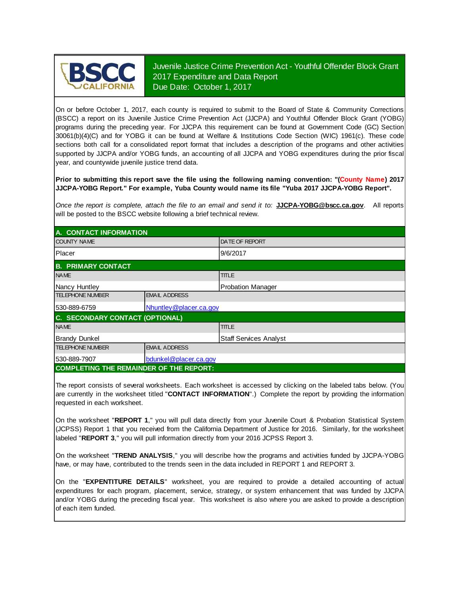

Juvenile Justice Crime Prevention Act - Youthful Offender Block Grant 2017 Expenditure and Data Report Due Date: October 1, 2017

On or before October 1, 2017, each county is required to submit to the Board of State & Community Corrections (BSCC) <sup>a</sup> report on its Juvenile Justice Crime Prevention Act (JJCPA) and Youthful Offender Block Grant (YOBG) programs during the preceding year. For JJCPA this requirement can be found at Government Code (GC) Section 30061(b)(4)(C) and for YOBG it can be found at Welfare & Institutions Code Section (WIC) 1961(c). These code sections both call for <sup>a</sup> consolidated report format that includes <sup>a</sup> description of the programs and other activities supported by JJCPA and/or YOBG funds, an accounting of all JJCPA and YOBG expenditures during the prior fiscal year, and countywide juvenile justice trend data.

**Prior to submitting this report save the file using the following naming convention: "(County Name) 2017 JJCPA-YOBG Report." For example, Yuba County would name its file "Yuba 2017 JJCPA-YOBG Report".**

*Once the report is complete, attach the file t o an email and send it to:* **JJCPA-YOBG@bscc.ca.gov**. All reports will be posted to the BSCC website following a brief technical review.

| A. CONTACT INFORMATION                         |                        |                          |  |  |
|------------------------------------------------|------------------------|--------------------------|--|--|
| <b>COUNTY NAME</b>                             |                        | <b>IDATE OF REPORT</b>   |  |  |
| Placer                                         |                        | 9/6/2017                 |  |  |
| <b>B. PRIMARY CONTACT</b>                      |                        |                          |  |  |
| <b>NAME</b>                                    |                        | <b>TITLE</b>             |  |  |
| Nancy Huntley                                  |                        | <b>Probation Manager</b> |  |  |
| <b>TELEPHONE NUMBER</b>                        | <b>EMAIL ADDRESS</b>   |                          |  |  |
| 530-889-6759                                   | Nhuntley@placer.ca.gov |                          |  |  |
| C. SECONDARY CONTACT (OPTIONAL)                |                        |                          |  |  |
| <b>NAME</b>                                    |                        | <b>TITLE</b>             |  |  |
| <b>Brandy Dunkel</b>                           |                        | Staff Services Analyst   |  |  |
| <b>TELEPHONE NUMBER</b>                        | <b>EMAIL ADDRESS</b>   |                          |  |  |
| 530-889-7907                                   | bdunkel@placer.ca.gov  |                          |  |  |
| <b>COMPLETING THE REMAINDER OF THE REPORT:</b> |                        |                          |  |  |

The report consists of several worksheets. Each worksheet is accessed by clicking on the labeled tabs below. (You are currently in the worksheet titled "**CONTACT INFORMATION**".) Complete the report by providing the information requested in each worksheet.

On the worksheet "**REPORT 1**, " you will pull data directly from your Juvenile Court & Probation Statistical System (JCPSS) Report 1 that you received from the California Department of Justice for 2016. Similarly, for the worksheet labeled "**REPORT 3**," you will pull information directly from your 2016 JCPSS Report 3.

On the worksheet "**TREND ANALYSIS**, " you will describe how the programs and activities funded by JJCPA-YOBG have, or may have, contributed to the trends seen in the data included in REPORT 1 and REPORT 3.

On the "EXPENTITURE DETAILS" worksheet, you are required to provide a detailed accounting of actual expenditures for each program, placement, service, strategy, or system enhancement that was funded by JJCPA and/or YOBG during the preceding fiscal year. This worksheet is also where you are asked to provide a description of each item funded.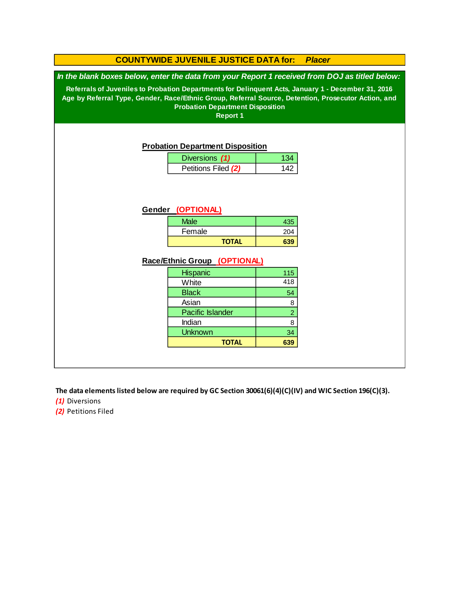### **COUNTYWIDE JUVENILE JUSTICE DATA for:** *Placer*

*In the blank boxes below, enter the data from your Report 1 received from DOJ as titled below:*

**Referrals of Juveniles to Probation Departments for Delinquent Acts, January 1 - December 31, 2016 Age by Referral Type, Gender, Race/Ethnic Group, Referral Source, Detention, Prosecutor Action, and Probation Department Disposition**

**Report 1**

#### **Probation Department Disposition**

| Diversions (1)      |  |
|---------------------|--|
| Petitions Filed (2) |  |

### **Gender (OPTIONAL)**

| <b>Male</b>  | 435 |
|--------------|-----|
| Female       | 204 |
| <b>TOTAL</b> | 639 |

#### **Race/Ethnic Group (OPTIONAL)**

| <b>Hispanic</b>         | 115            |
|-------------------------|----------------|
| White                   | 418            |
| <b>Black</b>            | 54             |
| Asian                   | 8              |
| <b>Pacific Islander</b> | $\overline{a}$ |
| Indian                  | 8              |
| <b>Unknown</b>          | 34             |
| <b>TOTAL</b>            | 639            |

**The data elements listed below are required by GC Section 30061(6)(4)(C)(IV) and WIC Section 196(C)(3).**

*(1)* Diversions

*(2)* Petitions Filed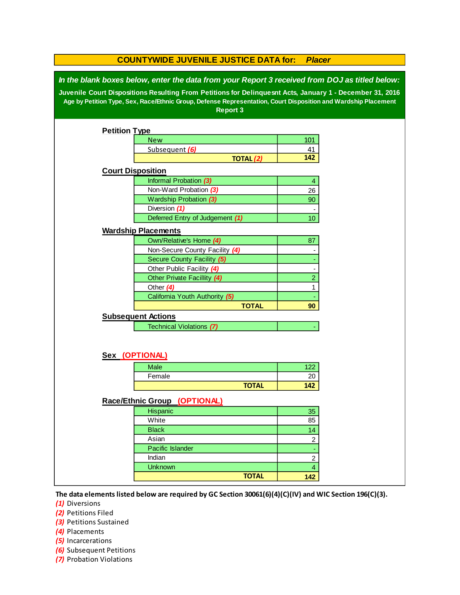|                                                                                                                                                                                                                                                                                                                                                 | <b>COUNTYWIDE JUVENILE JUSTICE DATA for:</b>                 | <b>Placer</b>   |  |  |  |  |
|-------------------------------------------------------------------------------------------------------------------------------------------------------------------------------------------------------------------------------------------------------------------------------------------------------------------------------------------------|--------------------------------------------------------------|-----------------|--|--|--|--|
| In the blank boxes below, enter the data from your Report 3 received from DOJ as titled below:<br>Juvenile Court Dispositions Resulting From Petitions for Delinquesnt Acts, January 1 - December 31, 2016<br>Age by Petition Type, Sex, Race/Ethnic Group, Defense Representation, Court Disposition and Wardship Placement<br><b>Report 3</b> |                                                              |                 |  |  |  |  |
| <b>Petition Type</b>                                                                                                                                                                                                                                                                                                                            |                                                              |                 |  |  |  |  |
|                                                                                                                                                                                                                                                                                                                                                 | <b>New</b>                                                   | 101             |  |  |  |  |
|                                                                                                                                                                                                                                                                                                                                                 | Subsequent (6)                                               | 41              |  |  |  |  |
|                                                                                                                                                                                                                                                                                                                                                 | <b>TOTAL (2)</b>                                             | 142             |  |  |  |  |
| <b>Court Disposition</b>                                                                                                                                                                                                                                                                                                                        |                                                              |                 |  |  |  |  |
|                                                                                                                                                                                                                                                                                                                                                 | Informal Probation (3)                                       | 4               |  |  |  |  |
|                                                                                                                                                                                                                                                                                                                                                 | Non-Ward Probation (3)                                       | 26              |  |  |  |  |
|                                                                                                                                                                                                                                                                                                                                                 | Wardship Probation (3)                                       | 90              |  |  |  |  |
|                                                                                                                                                                                                                                                                                                                                                 | Diversion (1)                                                | ٠               |  |  |  |  |
|                                                                                                                                                                                                                                                                                                                                                 | Deferred Entry of Judgement (1)                              | 10 <sup>°</sup> |  |  |  |  |
|                                                                                                                                                                                                                                                                                                                                                 | <b>Wardship Placements</b>                                   |                 |  |  |  |  |
|                                                                                                                                                                                                                                                                                                                                                 |                                                              | 87              |  |  |  |  |
|                                                                                                                                                                                                                                                                                                                                                 | Own/Relative's Home (4)                                      |                 |  |  |  |  |
|                                                                                                                                                                                                                                                                                                                                                 | Non-Secure County Facility (4)<br>Secure County Facility (5) |                 |  |  |  |  |
|                                                                                                                                                                                                                                                                                                                                                 | Other Public Facility (4)                                    |                 |  |  |  |  |
|                                                                                                                                                                                                                                                                                                                                                 | Other Private Facillity (4)                                  | $\overline{2}$  |  |  |  |  |
|                                                                                                                                                                                                                                                                                                                                                 | Other $(4)$                                                  | 1               |  |  |  |  |
|                                                                                                                                                                                                                                                                                                                                                 | California Youth Authority (5)                               |                 |  |  |  |  |
|                                                                                                                                                                                                                                                                                                                                                 | <b>TOTAL</b>                                                 | 90              |  |  |  |  |
|                                                                                                                                                                                                                                                                                                                                                 | <b>Subsequent Actions</b>                                    |                 |  |  |  |  |
|                                                                                                                                                                                                                                                                                                                                                 | <b>Technical Violations (7)</b>                              |                 |  |  |  |  |
|                                                                                                                                                                                                                                                                                                                                                 |                                                              |                 |  |  |  |  |
|                                                                                                                                                                                                                                                                                                                                                 | Sex (OPTIONAL)                                               |                 |  |  |  |  |
|                                                                                                                                                                                                                                                                                                                                                 | <b>Male</b>                                                  | 122             |  |  |  |  |
|                                                                                                                                                                                                                                                                                                                                                 | Female                                                       | 20              |  |  |  |  |
|                                                                                                                                                                                                                                                                                                                                                 | <b>TOTAL</b>                                                 | 142             |  |  |  |  |
|                                                                                                                                                                                                                                                                                                                                                 | Race/Ethnic Group (OPTIONAL)                                 |                 |  |  |  |  |
|                                                                                                                                                                                                                                                                                                                                                 | Hispanic                                                     | 35              |  |  |  |  |
|                                                                                                                                                                                                                                                                                                                                                 | White                                                        | 85              |  |  |  |  |
|                                                                                                                                                                                                                                                                                                                                                 | <b>Black</b>                                                 | 14              |  |  |  |  |
|                                                                                                                                                                                                                                                                                                                                                 | Asian                                                        | $\overline{c}$  |  |  |  |  |
|                                                                                                                                                                                                                                                                                                                                                 | Pacific Islander                                             | Ξ               |  |  |  |  |
|                                                                                                                                                                                                                                                                                                                                                 | Indian                                                       | $\overline{c}$  |  |  |  |  |
|                                                                                                                                                                                                                                                                                                                                                 | <b>Unknown</b>                                               | $\overline{4}$  |  |  |  |  |
|                                                                                                                                                                                                                                                                                                                                                 | <b>TOTAL</b>                                                 | 142             |  |  |  |  |
|                                                                                                                                                                                                                                                                                                                                                 |                                                              |                 |  |  |  |  |

**The data elements listed below are required by GC Section 30061(6)(4)(C)(IV) and WIC Section 196(C)(3).**

*(1)* Diversions

*(2)* Petitions Filed

*(3)* Petitions Sustained

*(4)* Placements

*(5)* Incarcerations

- *(6)* Subsequent Petitions
- *(7)* Probation Violations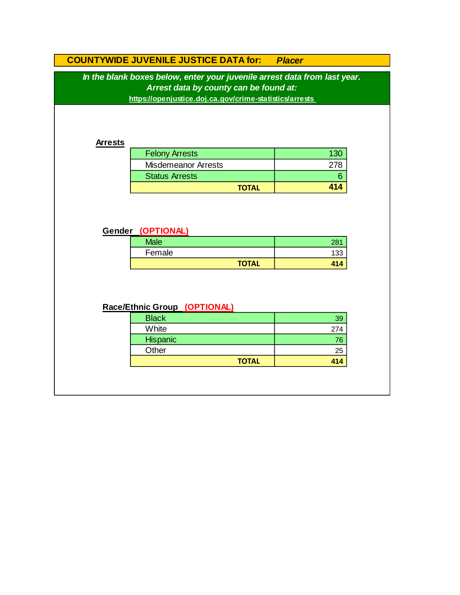# **COUNTYWIDE JUVENILE JUSTICE DATA for:** *Placer*

*In the blank boxes below, enter your juvenile arrest data from last year. Arrest data by county can be found at:*

**https://openjustice.doj.ca.gov/crime-statistics/arrests** 

### **Arrests**

| <b>Felony Arrests</b>      | 130 |
|----------------------------|-----|
| <b>Misdemeanor Arrests</b> |     |
| <b>Status Arrests</b>      |     |
| <b>TOTAL</b>               | 414 |

### **Gender (OPTIONAL)**

| <b>Male</b>  | 004     |
|--------------|---------|
| Female       | 122     |
| <b>TOTAL</b> | 41<br>n |

# **Race/Ethnic Group (OPTIONAL)**

| <b>Black</b>    | 39  |
|-----------------|-----|
| White           | 274 |
| <b>Hispanic</b> | 76  |
| Other           | 25  |
| <b>TOTAL</b>    | 414 |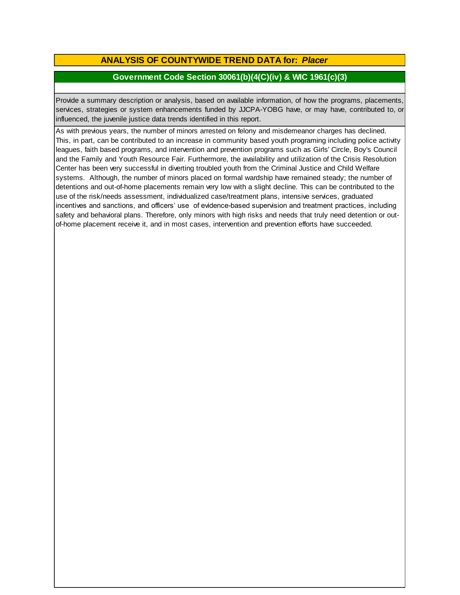# **ANALYSIS OF COUNTYWIDE TREND DATA for:** *Placer*

### **Government Code Section 30061(b)(4(C)(iv) & WIC 1961(c)(3)**

Provide <sup>a</sup> summary description or analysis, based on available information, of how the programs, placements, services, strategies or system enhancements funded by JJCPA-YOBG have, or may have, contributed to, or influenced, the juvenile justice data trends identified in this report.

As with previous years, the number of minors arrested on felony and misdemeanor charges has declined. This, in part, can be contributed to an increase in community based youth programing including police activity leagues, faith based programs, and intervention and prevention programs such as Girls' Circle, Boy's Council and the Family and Youth Resource Fair. Furthermore, the availability and utilization of the Crisis Resolution Center has been very successful in diverting troubled youth from the Criminal Justice and Child Welfare systems. Although, the number of minors placed on formal wardship have remained steady; the number of detentions and out-of-home placements remain very low with a slight decline. This can be contributed to the use of the risk/needs assessment, individualized case/treatment plans, intensive services, graduated incentives and sanctions, and officers' use of evidence-based supervision and treatment practices, including safety and behavioral plans. Therefore, only minors with high risks and needs that truly need detention or outof-home placement receive it, and in most cases, intervention and prevention efforts have succeeded.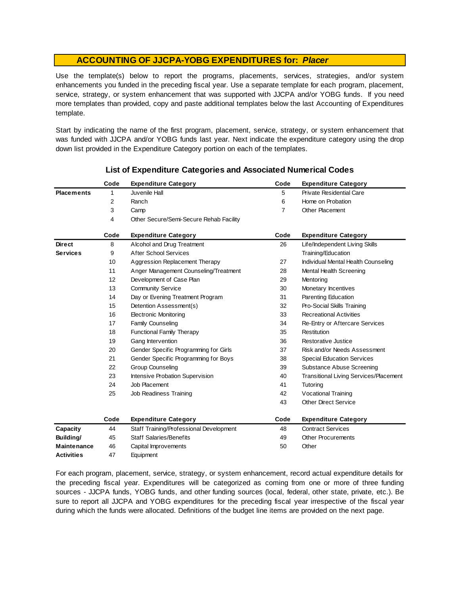Use the template(s) below to report the programs, placements, services, strategies, and/or system enhancements you funded in the preceding fiscal year. Use <sup>a</sup> separate template for each program, placement, service, strategy, or system enhancement that was supported with JJCPA and/or YOBG funds. If you need more templates than provided, copy and paste additional templates below the last Accounting of Expenditures template.

Start by indicating the name of the first program, placement, service, strategy, or system enhancement that was funded with JJCPA and/or YOBG funds last year. Next indicate the expenditure category using the drop down list provided in the Expenditure Category portion on each of the templates.

|                    | Code | <b>Expenditure Category</b>             | Code | <b>Expenditure Category</b>                   |
|--------------------|------|-----------------------------------------|------|-----------------------------------------------|
| <b>Placements</b>  | 1    | Juvenile Hall                           | 5    | Private Residential Care                      |
|                    | 2    | Ranch                                   | 6    | Home on Probation                             |
|                    | 3    | Camp                                    | 7    | <b>Other Placement</b>                        |
|                    | 4    | Other Secure/Semi-Secure Rehab Facility |      |                                               |
|                    | Code | <b>Expenditure Category</b>             | Code | <b>Expenditure Category</b>                   |
| <b>Direct</b>      | 8    | Alcohol and Drug Treatment              | 26   | Life/Independent Living Skills                |
| <b>Services</b>    | 9    | After School Services                   |      | Training/Education                            |
|                    | 10   | Aggression Replacement Therapy          | 27   | Individual Mental Health Counseling           |
|                    | 11   | Anger Management Counseling/Treatment   | 28   | Mental Health Screening                       |
|                    | 12   | Development of Case Plan                | 29   | Mentoring                                     |
|                    | 13   | <b>Community Service</b>                | 30   | Monetary Incentives                           |
|                    | 14   | Day or Evening Treatment Program        | 31   | Parenting Education                           |
|                    | 15   | Detention Assessment(s)                 | 32   | Pro-Social Skills Training                    |
|                    | 16   | <b>Electronic Monitoring</b>            | 33   | <b>Recreational Activities</b>                |
|                    | 17   | Family Counseling                       | 34   | Re-Entry or Aftercare Services                |
|                    | 18   | <b>Functional Family Therapy</b>        | 35   | Restitution                                   |
|                    | 19   | Gang Intervention                       | 36   | Restorative Justice                           |
|                    | 20   | Gender Specific Programming for Girls   | 37   | Risk and/or Needs Assessment                  |
|                    | 21   | Gender Specific Programming for Boys    | 38   | <b>Special Education Services</b>             |
|                    | 22   | <b>Group Counseling</b>                 | 39   | Substance Abuse Screening                     |
|                    | 23   | Intensive Probation Supervision         | 40   | <b>Transitional Living Services/Placement</b> |
|                    | 24   | Job Placement                           | 41   | Tutoring                                      |
|                    | 25   | Job Readiness Training                  | 42   | Vocational Training                           |
|                    |      |                                         | 43   | <b>Other Direct Service</b>                   |
|                    | Code | <b>Expenditure Category</b>             | Code | <b>Expenditure Category</b>                   |
| Capacity           | 44   | Staff Training/Professional Development | 48   | <b>Contract Services</b>                      |
| Building/          | 45   | <b>Staff Salaries/Benefits</b>          | 49   | Other Procurements                            |
| <b>Maintenance</b> | 46   | Capital Improvements                    | 50   | Other                                         |
| <b>Activities</b>  | 47   | Equipment                               |      |                                               |

### **List of Expenditure Categories and Associated Numerical Codes**

For each program, placement, service, strategy, or system enhancement, record actual expenditure details for the preceding fiscal year. Expenditures will be categorized as coming from one or more of three funding sources - JJCPA funds, YOBG funds, and other funding sources (local, federal, other state, private, etc.). Be sure to report all JJCPA and YOBG expenditures for the preceding fiscal year irrespective of the fiscal year during which the funds were allocated. Definitions of the budget line items are provided on the next page.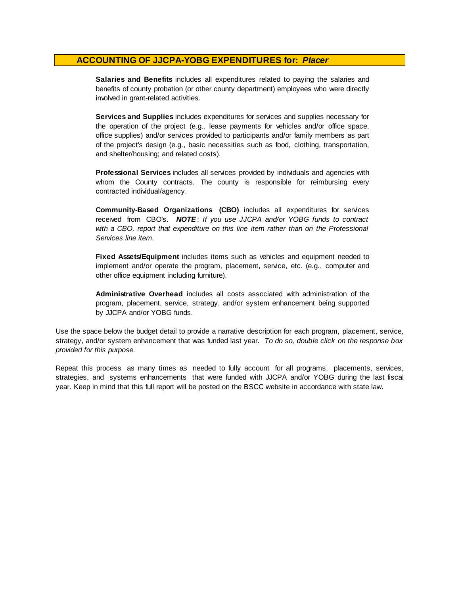**Salaries and Benefits** includes all expenditures related to paying the salaries and benefits of county probation (or other county department) employees who were directly involved in grant-related activities.

**Services and Supplies** includes expenditures for services and supplies necessary for the operation of the project (e.g., lease payments for vehicles and/or office space, office supplies) and/or services provided to participants and/or family members as part of the project's design (e.g., basic necessities such as food, clothing, transportation, and shelter/housing; and related costs).

**Professional Services** includes all services provided by individuals and agencies with whom the County contracts. The county is responsible for reimbursing every contracted individual/agency.

**Community-Based Organizations (CBO)** includes all expenditures for services received from CBO's. *NOTE* : *I f you use JJCPA and/or YOBG funds t o contract with <sup>a</sup> CBO, report that expenditure on this line item rather than on the Professional Services line item.*

**Fixed Assets/Equipment** includes items such as vehicles and equipment needed to implement and/or operate the program, placement, service, etc. (e.g., computer and other office equipment including furniture).

**Administrative Overhead** includes all costs associated with administration of the program, placement, service, strategy, and/or system enhancement being supported by JJCPA and/or YOBG funds.

Use the space below the budget detail to provide a narrative description for each program, placement, service, strategy, and/or system enhancement that was funded last year. *To do so, double click on the response box provided for this purpose.* 

Repeat this process as many times as needed to fully account for all programs, placements, services, strategies, and systems enhancements that were funded with JJCPA and/or YOBG during the last fiscal year. Keep in mind that this full report will be posted on the BSCC website in accordance with state law.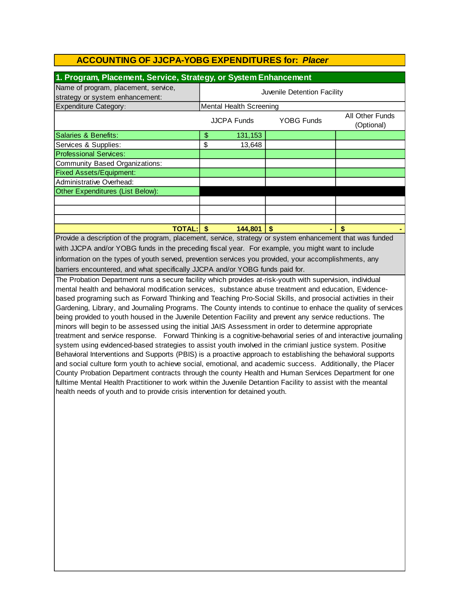| 1. Program, Placement, Service, Strategy, or System Enhancement                                          |                                                                          |          |    |   |  |  |
|----------------------------------------------------------------------------------------------------------|--------------------------------------------------------------------------|----------|----|---|--|--|
| Name of program, placement, service,<br>strategy or system enhancement:                                  | Juvenile Detention Facility                                              |          |    |   |  |  |
| <b>Expenditure Category:</b>                                                                             | Mental Health Screening                                                  |          |    |   |  |  |
|                                                                                                          | All Other Funds<br><b>YOBG Funds</b><br><b>JJCPA Funds</b><br>(Optional) |          |    |   |  |  |
| Salaries & Benefits:                                                                                     | \$                                                                       | 131, 153 |    |   |  |  |
| Services & Supplies:                                                                                     | \$                                                                       | 13,648   |    |   |  |  |
| <b>Professional Services:</b>                                                                            |                                                                          |          |    |   |  |  |
| <b>Community Based Organizations:</b>                                                                    |                                                                          |          |    |   |  |  |
| <b>Fixed Assets/Equipment:</b>                                                                           |                                                                          |          |    |   |  |  |
| Administrative Overhead:                                                                                 |                                                                          |          |    |   |  |  |
| Other Expenditures (List Below):                                                                         |                                                                          |          |    |   |  |  |
|                                                                                                          |                                                                          |          |    |   |  |  |
|                                                                                                          |                                                                          |          |    |   |  |  |
|                                                                                                          |                                                                          |          |    |   |  |  |
| <b>TOTAL: \$</b>                                                                                         |                                                                          | 144,801  | \$ | S |  |  |
| Provide a description of the program, placement, service, strategy or system enhancement that was funded |                                                                          |          |    |   |  |  |

Provide a description of the program, placement, service, strategy or system enhancement that was funded with JJCPA and/or YOBG funds in the preceding fiscal year. For example, you might want to include information on the types of youth served, prevention services you provided, your accomplishments, any barriers encountered, and what specifically JJCPA and/or YOBG funds paid for.

The Probation Department runs a secure facility which provides at-risk-youth with supervision, individual mental health and behavioral modification services, substance abuse treatment and education, Evidencebased programing such as Forward Thinking and Teaching Pro-Social Skills, and prosocial activities in their Gardening, Library, and Journaling Programs. The County intends to continue to enhace the quality of services being provided to youth housed in the Juvenile Detention Facility and prevent any service reductions. The minors will begin to be assessed using the initial JAIS Assessment in order to determine appropriate treatment and service response. Forward Thinking is a cognitive-behavorial series of and interactive journaling system using evidenced-based strategies to assist youth involved in the crimianl justice system. Positive Behavioral Interventions and Supports (PBIS) is a proactive approach to establishing the behavioral supports and social culture form youth to achieve social, emotional, and academic success. Additionally, the Placer County Probation Department contracts through the county Health and Human Services Department for one fulltime Mental Health Practitioner to work within the Juvenile Detantion Facility to assist with the meantal health needs of youth and to provide crisis intervention for detained youth.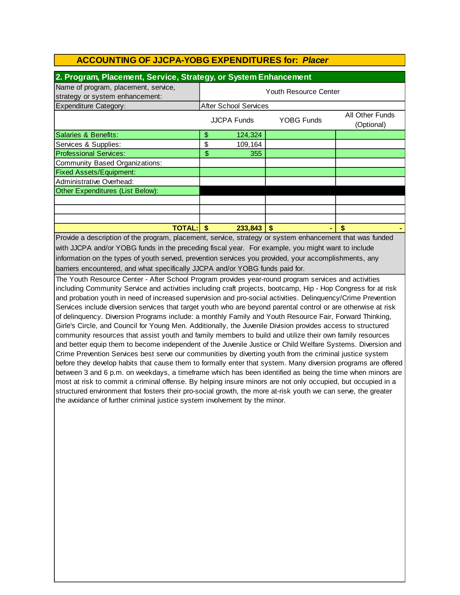| 2. Program, Placement, Service, Strategy, or System Enhancement         |                       |                              |                   |                               |  |  |
|-------------------------------------------------------------------------|-----------------------|------------------------------|-------------------|-------------------------------|--|--|
| Name of program, placement, service,<br>strategy or system enhancement: | Youth Resource Center |                              |                   |                               |  |  |
| <b>Expenditure Category:</b>                                            |                       | <b>After School Services</b> |                   |                               |  |  |
|                                                                         |                       | <b>JJCPA Funds</b>           | <b>YOBG Funds</b> | All Other Funds<br>(Optional) |  |  |
| Salaries & Benefits:                                                    | \$                    | 124,324                      |                   |                               |  |  |
| Services & Supplies:                                                    | \$                    | 109,164                      |                   |                               |  |  |
| <b>Professional Services:</b>                                           | \$                    | 355                          |                   |                               |  |  |
| Community Based Organizations:                                          |                       |                              |                   |                               |  |  |
| <b>Fixed Assets/Equipment:</b>                                          |                       |                              |                   |                               |  |  |
| Administrative Overhead:                                                |                       |                              |                   |                               |  |  |
| Other Expenditures (List Below):                                        |                       |                              |                   |                               |  |  |
|                                                                         |                       |                              |                   |                               |  |  |
|                                                                         |                       |                              |                   |                               |  |  |
|                                                                         |                       |                              |                   |                               |  |  |
| <b>TOTAL:</b>                                                           | \$                    | 233,843                      | S<br>۰            | \$                            |  |  |

barriers encountered, and what specifically JJCPA and/or YOBG funds paid for. Provide a description of the program, placement, service, strategy or system enhancement that was funded with JJCPA and/or YOBG funds in the preceding fiscal year. For example, you might want to include information on the types of youth served, prevention services you provided, your accomplishments, any

The Youth Resource Center - After School Program provides year-round program services and activities including Community Service and activities including craft projects, bootcamp, Hip - Hop Congress for at risk and probation youth in need of increased supervision and pro-social activities. Delinquency/Crime Prevention Services include diversion services that target youth who are beyond parental control or are otherwise at risk of delinquency. Diversion Programs include: a monthly Family and Youth Resource Fair, Forward Thinking, Girle's Circle, and Council for Young Men. Additionally, the Juvenile Division provides access to structured community resources that assist youth and family members to build and utilize their own family resources and better equip them to become independent of the Juvenile Justice or Child Welfare Systems. Diversion and Crime Prevention Services best serve our communities by diverting youth from the criminal justice system before they develop habits that cause them to formally enter that system. Many diversion programs are offered between 3 and 6 p.m. on weekdays, a timeframe which has been identified as being the time when minors are most at risk to commit a criminal offense. By helping insure minors are not only occupied, but occupied in a structured environment that fosters their pro-social growth, the more at-risk youth we can serve, the greater the avoidance of further criminal justice system involvement by the minor.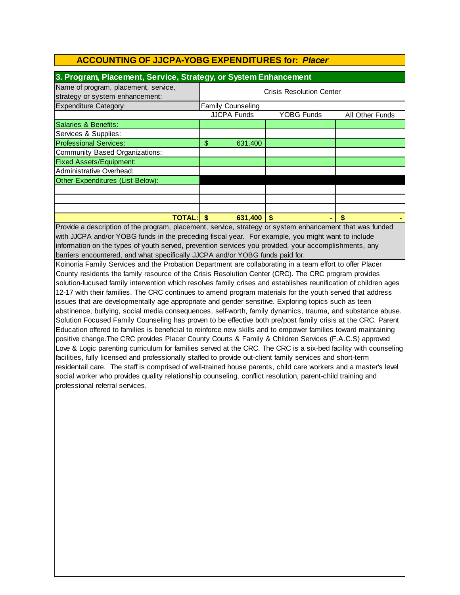| 3. Program, Placement, Service, Strategy, or System Enhancement         |                                 |                          |            |                 |  |  |
|-------------------------------------------------------------------------|---------------------------------|--------------------------|------------|-----------------|--|--|
| Name of program, placement, service,<br>strategy or system enhancement: | <b>Crisis Resolution Center</b> |                          |            |                 |  |  |
| <b>Expenditure Category:</b>                                            |                                 | <b>Family Counseling</b> |            |                 |  |  |
|                                                                         |                                 | <b>JJCPA Funds</b>       | YOBG Funds | All Other Funds |  |  |
| Salaries & Benefits:                                                    |                                 |                          |            |                 |  |  |
| Services & Supplies:                                                    |                                 |                          |            |                 |  |  |
| <b>Professional Services:</b>                                           | \$                              | 631,400                  |            |                 |  |  |
| Community Based Organizations:                                          |                                 |                          |            |                 |  |  |
| <b>Fixed Assets/Equipment:</b>                                          |                                 |                          |            |                 |  |  |
| Administrative Overhead:                                                |                                 |                          |            |                 |  |  |
| Other Expenditures (List Below):                                        |                                 |                          |            |                 |  |  |
|                                                                         |                                 |                          |            |                 |  |  |
|                                                                         |                                 |                          |            |                 |  |  |
|                                                                         |                                 |                          |            |                 |  |  |
| <b>TOTAL:</b>                                                           |                                 | 631.400                  |            | \$              |  |  |

barriers encountered, and what specifically JJCPA and/or YOBG funds paid for. information on the types of youth served, prevention services you provided, your accomplishments, any Provide a description of the program, placement, service, strategy or system enhancement that was funded with JJCPA and/or YOBG funds in the preceding fiscal year. For example, you might want to include

Koinonia Family Services and the Probation Department are collaborating in a team effort to offer Placer County residents the family resource of the Crisis Resolution Center (CRC). The CRC program provides solution-fucused family intervention which resolves family crises and establishes reunification of children ages 12-17 with their families. The CRC continues to amend program materials for the youth served that address issues that are developmentally age appropriate and gender sensitive. Exploring topics such as teen abstinence, bullying, social media consequences, self-worth, family dynamics, trauma, and substance abuse. Solution Focused Family Counseling has proven to be effective both pre/post family crisis at the CRC. Parent Education offered to families is beneficial to reinforce new skills and to empower families toward maintaining positive change.The CRC provides Placer County Courts & Family & Children Services (F.A.C.S) approved Love & Logic parenting curriculum for families served at the CRC. The CRC is a six-bed facility with counseling facilities, fully licensed and professionally staffed to provide out-client family services and short-term residentail care. The staff is comprised of well-trained house parents, child care workers and a master's level social worker who provides quality relationship counseling, conflict resolution, parent-child training and professional referral services.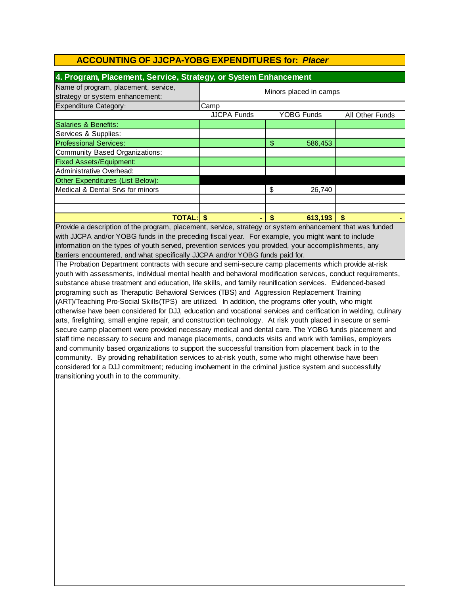| 4. Program, Placement, Service, Strategy, or System Enhancement         |                        |                   |                 |  |
|-------------------------------------------------------------------------|------------------------|-------------------|-----------------|--|
| Name of program, placement, service,<br>strategy or system enhancement: | Minors placed in camps |                   |                 |  |
| Expenditure Category:                                                   | Camp                   |                   |                 |  |
|                                                                         | <b>JJCPA Funds</b>     | <b>YOBG Funds</b> | All Other Funds |  |
| Salaries & Benefits:                                                    |                        |                   |                 |  |
| Services & Supplies:                                                    |                        |                   |                 |  |
| <b>Professional Services:</b>                                           |                        | \$<br>586,453     |                 |  |
| Community Based Organizations:                                          |                        |                   |                 |  |
| <b>Fixed Assets/Equipment:</b>                                          |                        |                   |                 |  |
| Administrative Overhead:                                                |                        |                   |                 |  |
| Other Expenditures (List Below):                                        |                        |                   |                 |  |
| Medical & Dental Srvs for minors                                        |                        | \$<br>26,740      |                 |  |
|                                                                         |                        |                   |                 |  |
|                                                                         |                        |                   |                 |  |
| TOTAL: I                                                                |                        | 613,193<br>S      | S               |  |

Provide a description of the program, placement, service, strategy or system enhancement that was funded with JJCPA and/or YOBG funds in the preceding fiscal year. For example, you might want to include information on the types of youth served, prevention services you provided, your accomplishments, any barriers encountered, and what specifically JJCPA and/or YOBG funds paid for.

The Probation Department contracts with secure and semi-secure camp placements which provide at-risk youth with assessments, individual mental health and behavioral modification services, conduct requirements, substance abuse treatment and education, life skills, and family reunification services. Evidenced-based programing such as Theraputic Behavioral Services (TBS) and Aggression Replacement Training (ART)/Teaching Pro-Social Skills(TPS) are utilized. In addition, the programs offer youth, who might otherwise have been considered for DJJ, education and vocational services and cerification in welding, culinary arts, firefighting, small engine repair, and construction technology. At risk youth placed in secure or semisecure camp placement were provided necessary medical and dental care. The YOBG funds placement and staff time necessary to secure and manage placements, conducts visits and work with families, employers and community based organizations to support the successful transition from placement back in to the community. By providing rehabilitation services to at-risk youth, some who might otherwise have been considered for a DJJ commitment; reducing involvement in the criminal justice system and successfully transitioning youth in to the community.